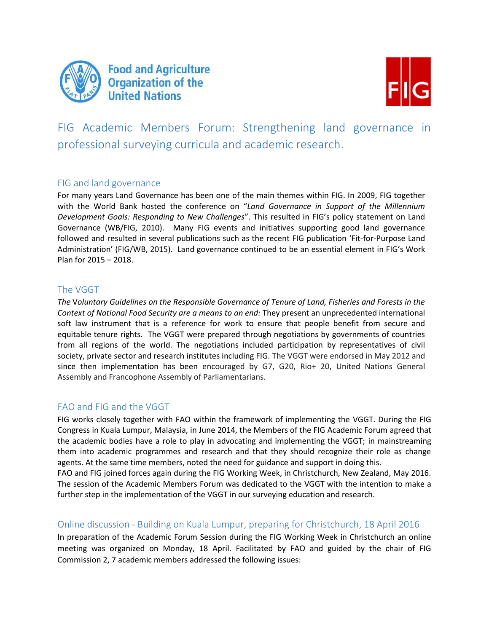



FIG Academic Members Forum: Strengthening land governance in professional surveying curricula and academic research.

### FIG and land governance

For many years Land Governance has been one of the main themes within FIG. In 2009, FIG together with the World Bank hosted the conference on "*Land Governance in Support of the Millennium Development Goals: Responding to New Challenges*". This resulted in FIG's policy statement on Land Governance (WB/FIG, 2010). Many FIG events and initiatives supporting good land governance followed and resulted in several publications such as the recent FIG publication 'Fit-for-Purpose Land Administration' (FIG/WB, 2015). Land governance continued to be an essential element in FIG's Work Plan for 2015 – 2018.

### The VGGT

*The* V*oluntary Guidelines on the Responsible Governance of Tenure of Land, Fisheries and Forests in the Context of National Food Security are a means to an end:* They present an unprecedented international soft law instrument that is a reference for work to ensure that people benefit from secure and equitable tenure rights. The VGGT were prepared through negotiations by governments of countries from all regions of the world. The negotiations included participation by representatives of civil society, private sector and research institutes including FIG. The VGGT were endorsed in May 2012 and since then implementation has been encouraged by G7, G20, Rio+ 20, United Nations General Assembly and Francophone Assembly of Parliamentarians.

### FAO and FIG and the VGGT

FIG works closely together with FAO within the framework of implementing the VGGT. During the FIG Congress in Kuala Lumpur, Malaysia, in June 2014, the Members of the FIG Academic Forum agreed that the academic bodies have a role to play in advocating and implementing the VGGT; in mainstreaming them into academic programmes and research and that they should recognize their role as change agents. At the same time members, noted the need for guidance and support in doing this.

FAO and FIG joined forces again during the FIG Working Week, in Christchurch, New Zealand, May 2016. The session of the Academic Members Forum was dedicated to the VGGT with the intention to make a further step in the implementation of the VGGT in our surveying education and research.

#### Online discussion - Building on Kuala Lumpur, preparing for Christchurch, 18 April 2016

In preparation of the Academic Forum Session during the FIG Working Week in Christchurch an online meeting was organized on Monday, 18 April. Facilitated by FAO and guided by the chair of FIG Commission 2, 7 academic members addressed the following issues: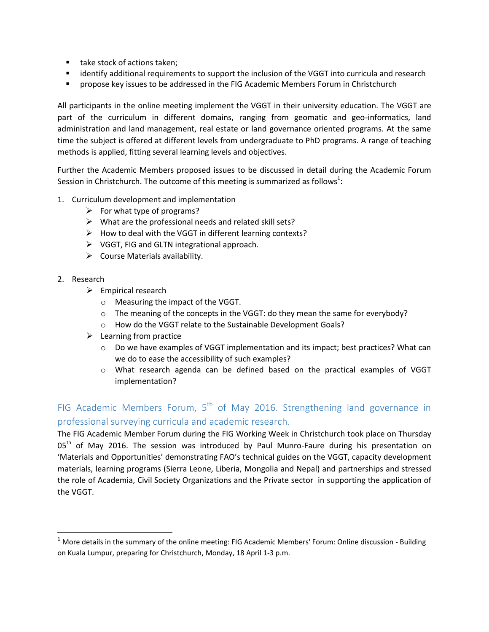- take stock of actions taken:
- identify additional requirements to support the inclusion of the VGGT into curricula and research
- propose key issues to be addressed in the FIG Academic Members Forum in Christchurch

All participants in the online meeting implement the VGGT in their university education. The VGGT are part of the curriculum in different domains, ranging from geomatic and geo-informatics, land administration and land management, real estate or land governance oriented programs. At the same time the subject is offered at different levels from undergraduate to PhD programs. A range of teaching methods is applied, fitting several learning levels and objectives.

Further the Academic Members proposed issues to be discussed in detail during the Academic Forum Session in Christchurch. The outcome of this meeting is summarized as follows<sup>1</sup>:

- 1. Curriculum development and implementation
	- $\triangleright$  For what type of programs?
	- $\triangleright$  What are the professional needs and related skill sets?
	- $\triangleright$  How to deal with the VGGT in different learning contexts?
	- $\triangleright$  VGGT, FIG and GLTN integrational approach.
	- $\triangleright$  Course Materials availability.
- 2. Research

 $\overline{\phantom{a}}$ 

- $\triangleright$  Empirical research
	- o Measuring the impact of the VGGT.
	- $\circ$  The meaning of the concepts in the VGGT: do they mean the same for everybody?
	- o How do the VGGT relate to the Sustainable Development Goals?
- $\blacktriangleright$  Learning from practice
	- $\circ$  Do we have examples of VGGT implementation and its impact; best practices? What can we do to ease the accessibility of such examples?
	- o What research agenda can be defined based on the practical examples of VGGT implementation?

# FIG Academic Members Forum, 5<sup>th</sup> of May 2016. Strengthening land governance in professional surveying curricula and academic research.

The FIG Academic Member Forum during the FIG Working Week in Christchurch took place on Thursday 05<sup>th</sup> of May 2016. The session was introduced by Paul Munro-Faure during his presentation on 'Materials and Opportunities' demonstrating FAO's technical guides on the VGGT, capacity development materials, learning programs (Sierra Leone, Liberia, Mongolia and Nepal) and partnerships and stressed the role of Academia, Civil Society Organizations and the Private sector in supporting the application of the VGGT.

 $1$  More details in the summary of the online meeting: FIG Academic Members' Forum: Online discussion - Building on Kuala Lumpur, preparing for Christchurch, Monday, 18 April 1-3 p.m.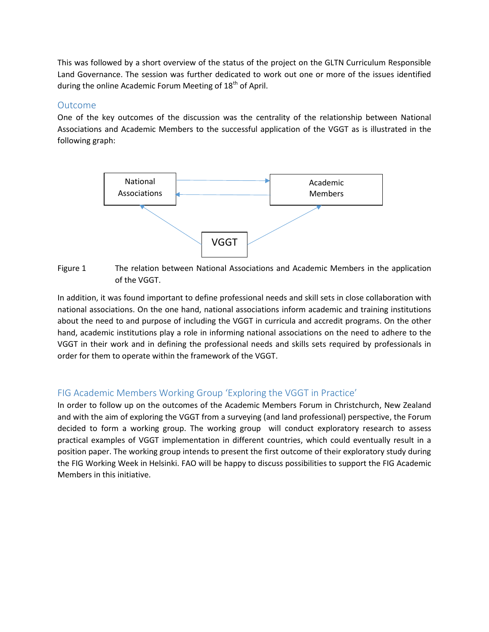This was followed by a short overview of the status of the project on the GLTN Curriculum Responsible Land Governance. The session was further dedicated to work out one or more of the issues identified during the online Academic Forum Meeting of 18<sup>th</sup> of April.

### Outcome

One of the key outcomes of the discussion was the centrality of the relationship between National Associations and Academic Members to the successful application of the VGGT as is illustrated in the following graph:



Figure 1 The relation between National Associations and Academic Members in the application of the VGGT.

In addition, it was found important to define professional needs and skill sets in close collaboration with national associations. On the one hand, national associations inform academic and training institutions about the need to and purpose of including the VGGT in curricula and accredit programs. On the other hand, academic institutions play a role in informing national associations on the need to adhere to the VGGT in their work and in defining the professional needs and skills sets required by professionals in order for them to operate within the framework of the VGGT.

## FIG Academic Members Working Group 'Exploring the VGGT in Practice'

In order to follow up on the outcomes of the Academic Members Forum in Christchurch, New Zealand and with the aim of exploring the VGGT from a surveying (and land professional) perspective, the Forum decided to form a working group. The working group will conduct exploratory research to assess practical examples of VGGT implementation in different countries, which could eventually result in a position paper. The working group intends to present the first outcome of their exploratory study during the FIG Working Week in Helsinki. FAO will be happy to discuss possibilities to support the FIG Academic Members in this initiative.